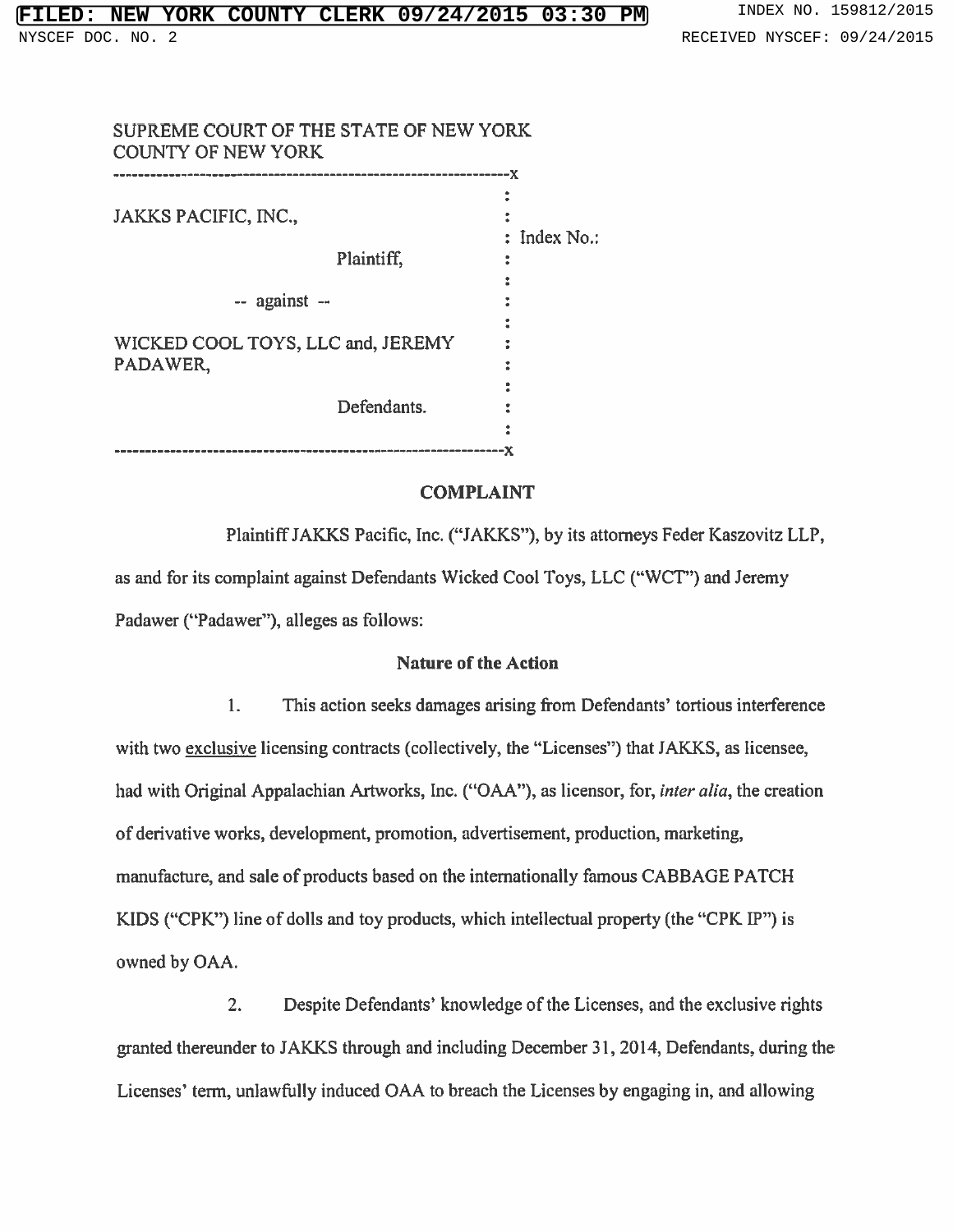| SUPREME COURT OF THE STATE OF NEW YORK<br><b>COUNTY OF NEW YORK</b> |                |              |
|---------------------------------------------------------------------|----------------|--------------|
|                                                                     | -------------- | -х           |
|                                                                     |                |              |
| JAKKS PACIFIC, INC.,                                                |                | : Index No.: |
|                                                                     | Plaintiff,     |              |
|                                                                     |                |              |
| -- against --<br>WICKED COOL TOYS, LLC and, JEREMY                  |                |              |
|                                                                     |                |              |
|                                                                     |                |              |
| PADAWER,                                                            |                |              |
|                                                                     | Defendants.    |              |
|                                                                     |                |              |
|                                                                     |                |              |

## COMPLAINT

PlaintiffJAKKS Pacific, Inc. ("JAKKS"), by its attorneys Feder Kaszovitz LLP, as and for its complaint against Defendants Wicked Cool Toys, LLC ("WCT") and Jeremy Padawer ("Padawer"), alleges as follows:

## Nature of the Action

1. This action seeks damages arising from Defendants' tortious interference with two exclusive licensing contracts (collectively, the "Licenses") that JAKKS, as licensee, had with Original Appalachian Artworks, Inc. ("OAA"), as licensor, for, *inter alia*, the creation of derivative works, development, promotion, advertisement, production, marketing, manufacture, and sale of products based on the internationally famous CABBAGE PATCH KIDS ("CPK") line of dolls and toy products, which intellectual property (the "CPK IP") is owned by OAA.

2. Despite Defendants' knowledge of the Licenses, and the exclusive rights granted thereunder to JAKKS through and including December 31, 2014, Defendants, during the Licenses' term, unlawftilly induced OAA to breach the Licenses by engaging in, and allowing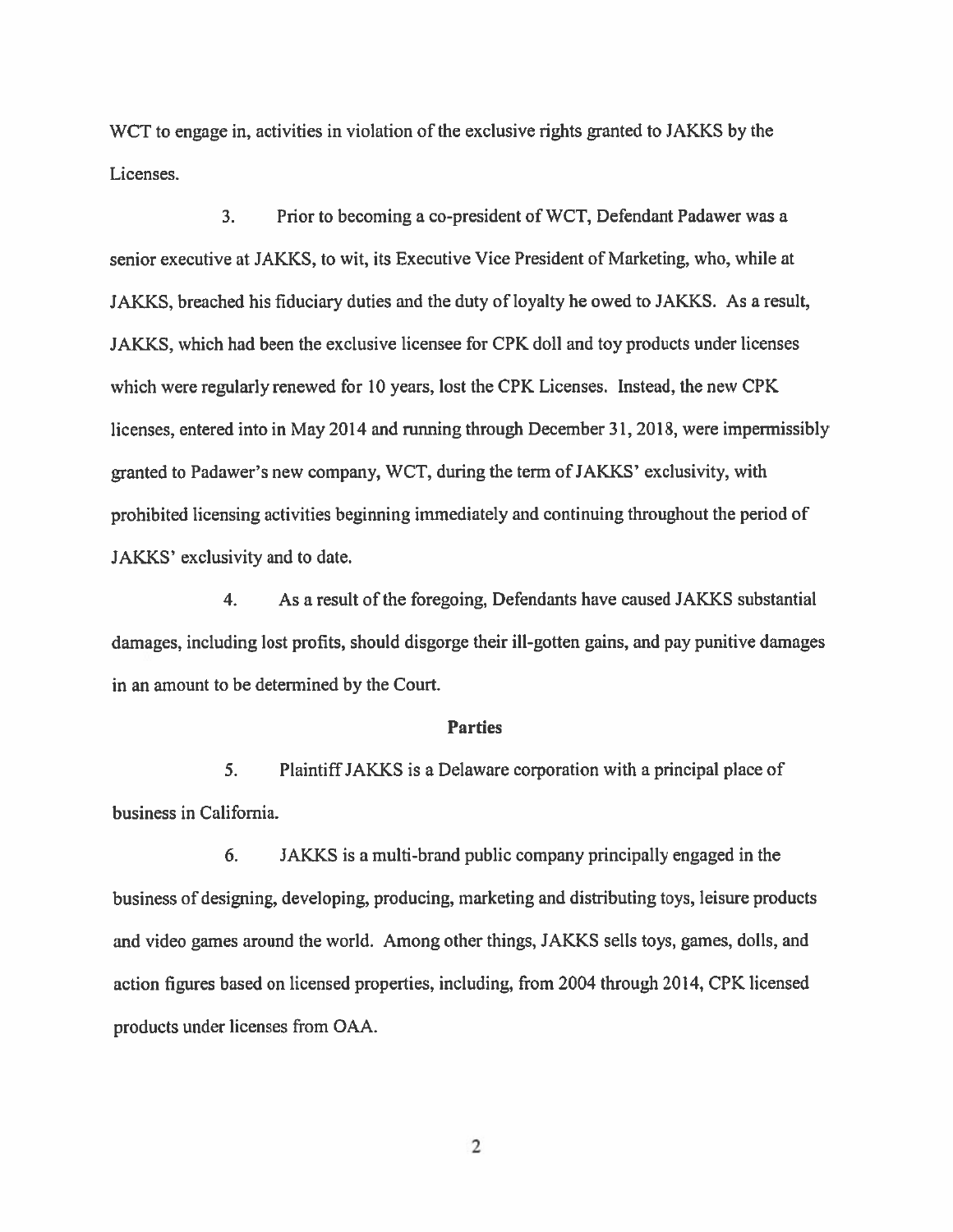WCT to engage in, activities in violation of the exclusive rights granted to JAKKS by the Licenses.

3. Prior to becoming <sup>a</sup> co-president of WCT, Defendant Padawer was <sup>a</sup> senior executive at JAKKS, to wit, its Executive Vice President of Marketing, who, while at JAKKS, breached his fiduciary duties and the duty of loyalty he owed to JAKKS. As <sup>a</sup> result, JAKKS, which had been the exclusive licensee for CPK doll and toy products under licenses which were regularly renewed for 10 years, lost the CPK Licenses. Instead, the new CPK licenses, entered into in May 2014 and running through December 31, 2018, were impermissibly granted to Padawer's new company, WCT, during the term of JAKKS' exclusivity, with prohibited licensing activities beginning immediately and continuing throughout the period of JAKKS' exclusivity and to date.

4. As <sup>a</sup> result of the foregoing, Defendants have caused JAKKS substantial damages, including lost profits, should disgorge their ill-gotten gains, and pay punitive damages in an amount to be determined by the Court.

#### **Parties**

5. PlaintiffJAKKS is <sup>a</sup> Delaware corporation with <sup>a</sup> principal place of business in California.

6. JAKKS is <sup>a</sup> multi-brand public company principally engaged in the business of designing, developing, producing, marketing and distributing toys, leisure products and video games around the world. Among other things, JAKKS sells toys, games, dolls, and action figures based on licensed properties, including, from 2004 through 2014, CPK licensed products under licenses from OAA.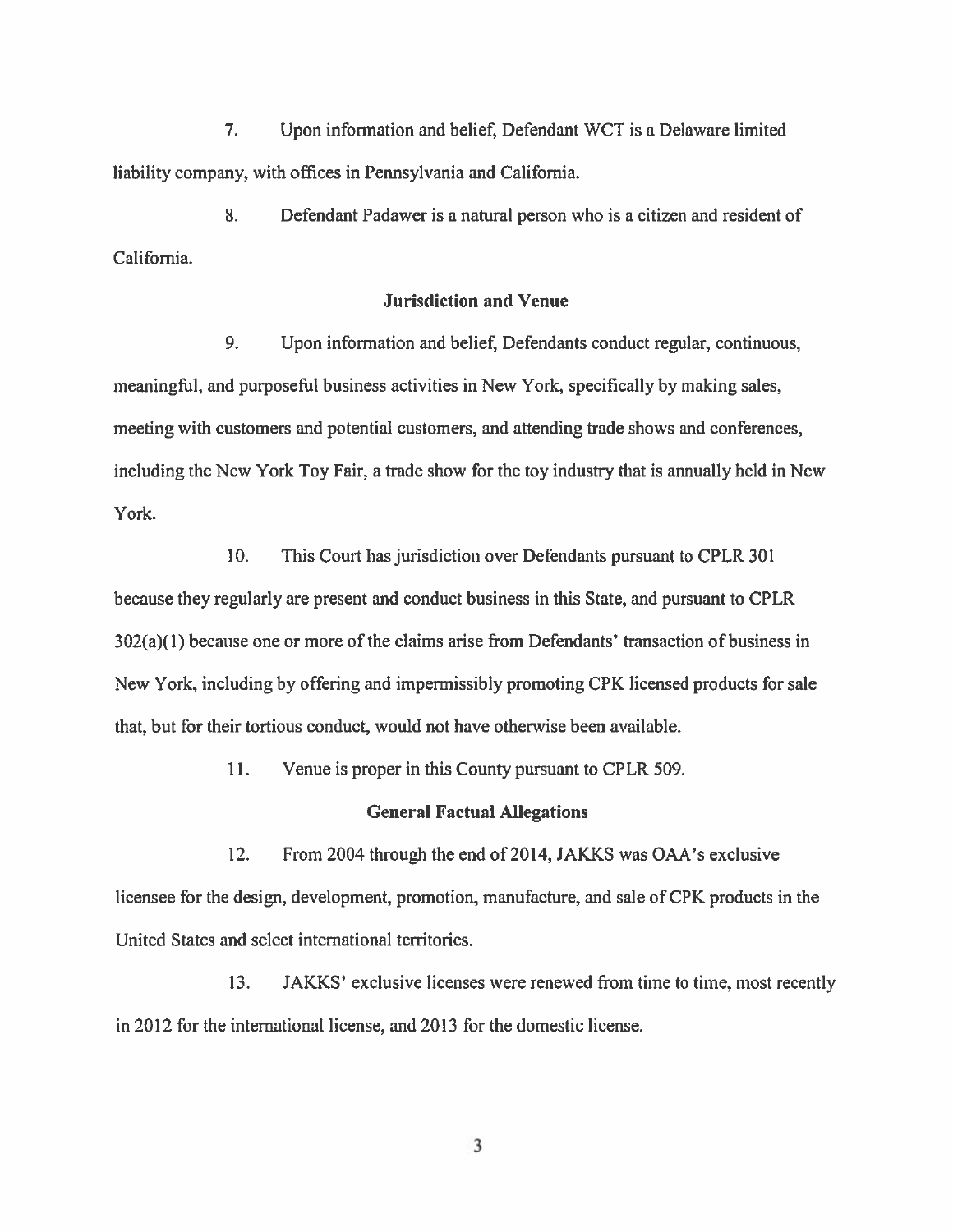7. Upon information and belief, Defendant WCT is <sup>a</sup> Delaware limited liability company, with offices in Pennsylvania and California.

8. Defendant Padawer is <sup>a</sup> natural person who is <sup>a</sup> citizen and resident of California.

## Jurisdiction and Venue

9. Upon information and belief, Defendants conduct regular, continuous, meaningful, and purposeful business activities in New York, specifically by making sales, meeting with customers and potential customers, and attending trade shows and conferences, including the New York Toy Fair, <sup>a</sup> trade show for the toy industry that is annually held in New York.

10. This Court has jurisdiction over Defendants pursuan<sup>t</sup> to CPLR 301 because they regularly are presen<sup>t</sup> and conduct business in this State, and pursuan<sup>t</sup> to CPLR 302(a)(1) because one or more of the claims arise from Defendants' transaction of business in New York, including by offering and impermissibly promoting CPK licensed products for sale that, but for their tortious conduct, would not have othenvise been available.

11. Venue is proper in this County pursuan<sup>t</sup> to CPLR 509.

### General Factual Allegations

12. From 2004 through the end of 2014, JAKKS was OAA's exclusive licensee for the design, development, promotion, manufacture, and sale of CPK products in the United States and select international territories.

13. JAKKS' exclusive licenses were renewed from time to time, most recently in 2012 for the international license, and 2013 for the domestic license.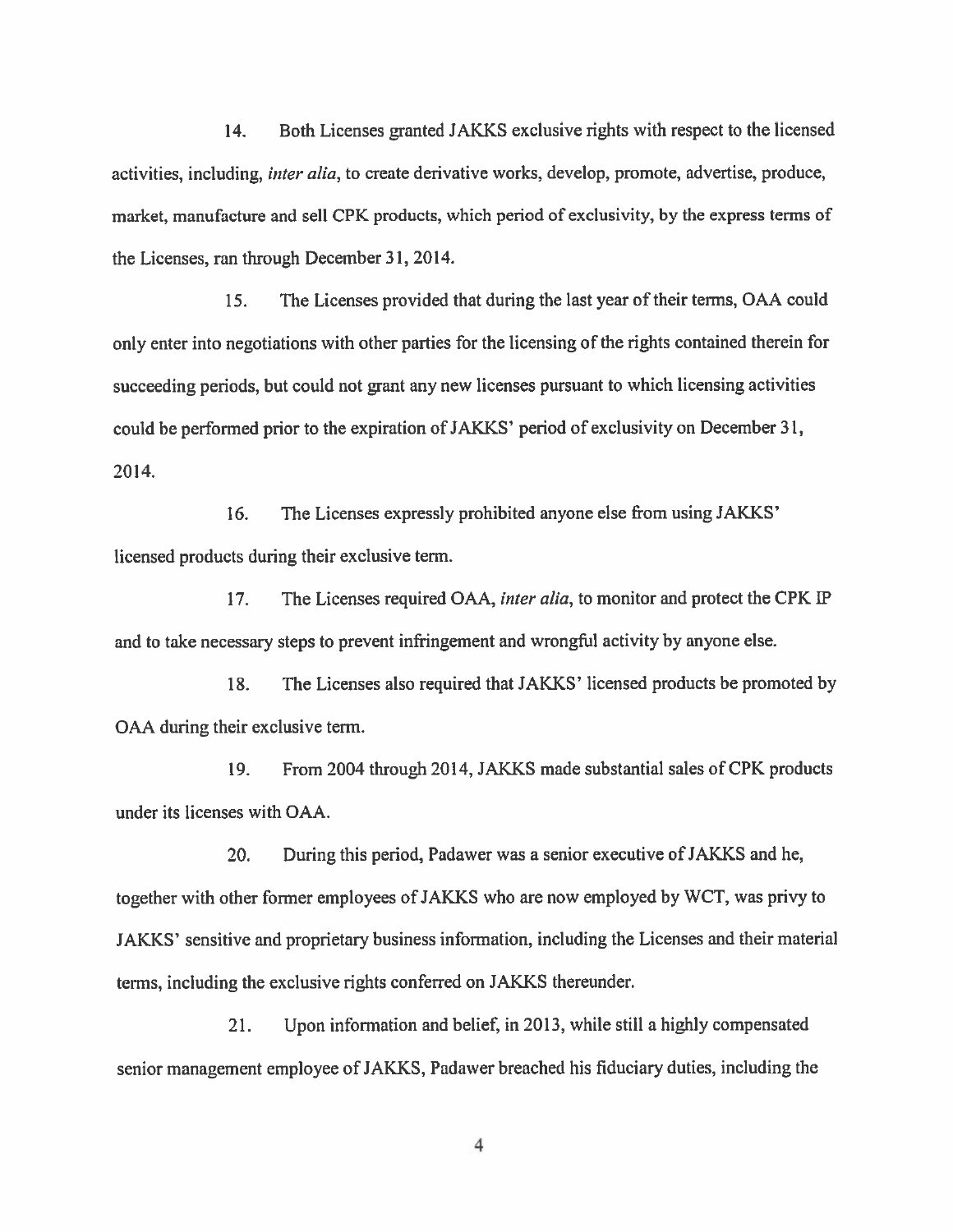14. Both Licenses granted JAKKS exclusive rights with respec<sup>t</sup> to the licensed activities, including, *inter alia*, to create derivative works, develop, promote, advertise, produce, market, manufacture and sell CPK products, which period of exclusivity, by the express terms of the Licenses, ran through December 31, 2014.

15. The Licenses provided that during the last year of their terms, OAA could only enter into negotiations with other parties for the licensing of the rights contained therein for succeeding periods, but could not gran<sup>t</sup> any new licenses pursuan<sup>t</sup> to which licensing activities could be performed prior to the expiration of JAKKS' period of exclusivity on December 31, 2014.

16. The Licenses expressly prohibited anyone else from using JAKKS' licensed products during their exclusive term.

17. The Licenses required OAA, inter alia, to monitor and protect the CPK IP and to take necessary steps to preven<sup>t</sup> infringement and wrongful activity by anyone else.

18. The Licenses also required that JAKKS' licensed products be promoted by OAA during their exclusive term.

19. From 2004 through 2014, JAKKS made substantial sales of CPK products under its licenses with OAA.

20. During this period, Padawer was a senior executive of JAKKS and he, together with other former employees ofJAKKS who are now employed by WCT, was privy to JAKXS' sensitive and proprietary business information, including the Licenses and their material terms, including the exclusive rights conferred on JAKKS thereunder.

21. Upon information and belief, in 2013, while still <sup>a</sup> highly compensated senior managemen<sup>t</sup> employee of JAKKS, Padawer breached his fiduciary duties, including the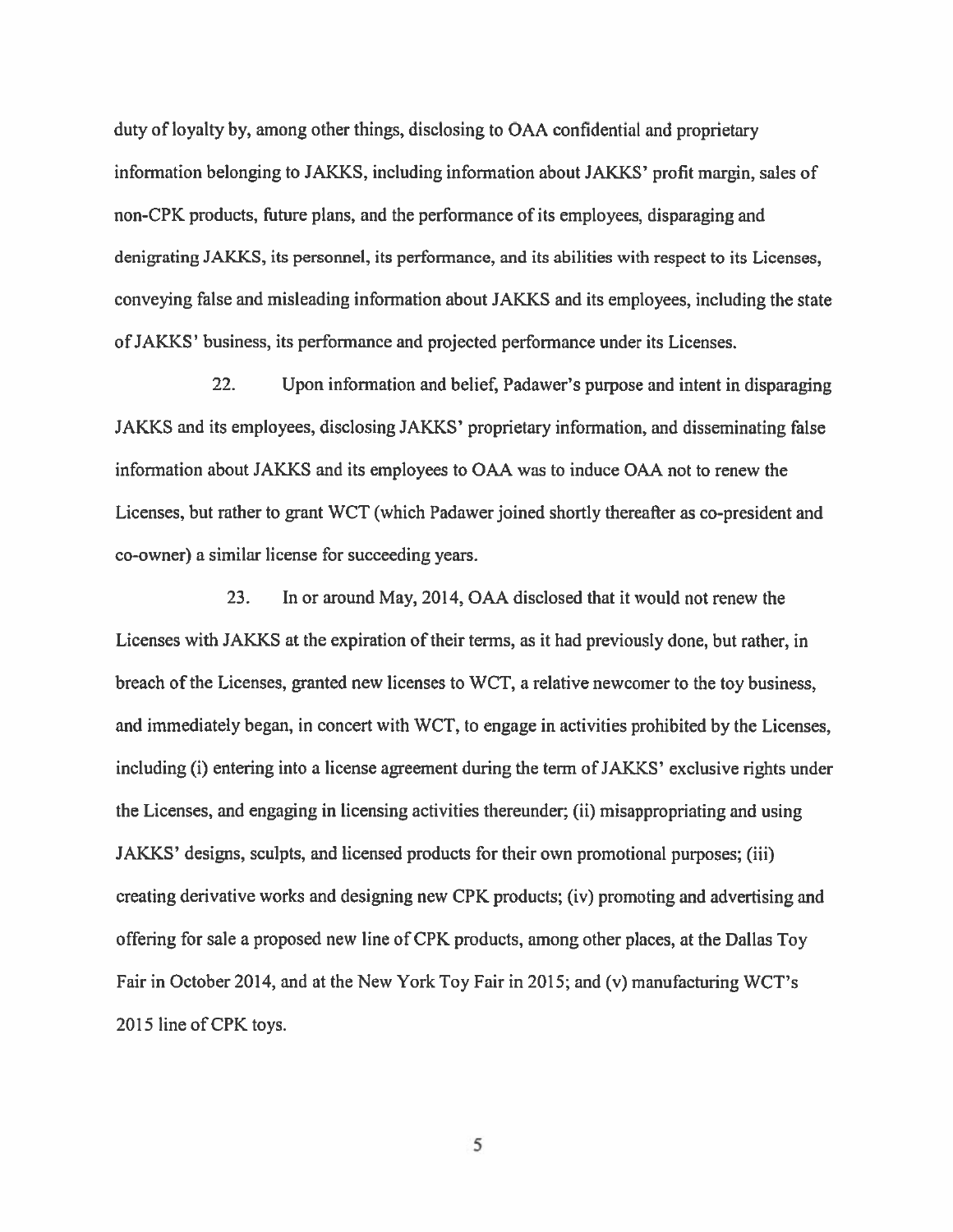duty of loyalty by, among other things, disclosing to OAA confidential and proprietary information belonging to JAKKS, including information about JAKKS' profit margin, sales of non-CPK products, future plans, and the performance of its employees, disparaging and denigrating JAKKS, its personnel, its performance, and its abilities with respec<sup>t</sup> to its Licenses, conveying false and misleading information about JAKKS and its employees, including the state ofJAKKS' business, its performance and projected performance under its Licenses.

22. Upon information and belief, Padawer's purpose and intent in disparaging JAKKS and its employees, disclosing JAKKS' proprietary information, and disseminating false information about JAKKS and its employees to OAA was to induce OAA not to renew the Licenses, but rather to gran<sup>t</sup> WCT (which Padawer joined shortly thereafter as co-president and co-owner) <sup>a</sup> similar license for succeeding years.

23. In or around May, 2014, OAA disclosed that it would not renew the Licenses with JAKKS at the expiration of their terms, as it had previously done, but rather, in breach of the Licenses, granted new licenses to WCT, <sup>a</sup> relative newcomer to the toy business, and immediately began, in concert with WCT, to engage in activities prohibited by the Licenses, including (i) entering into a license agreement during the term of JAKKS' exclusive rights under the Licenses, and engaging in licensing activities thereunder; (ii) misappropriating and using JAKKS' designs, sculpts, and licensed products for their own promotional purposes; (iii) creating derivative works and designing new CPK products; (iv) promoting and advertising and offering for sale <sup>a</sup> proposed new line of CPK products, among other places, at the Dallas Toy Fair in October 2014, and at the New York Toy Fair in 2015; and (v) manufacturing WCT's 2015 line of CPK toys.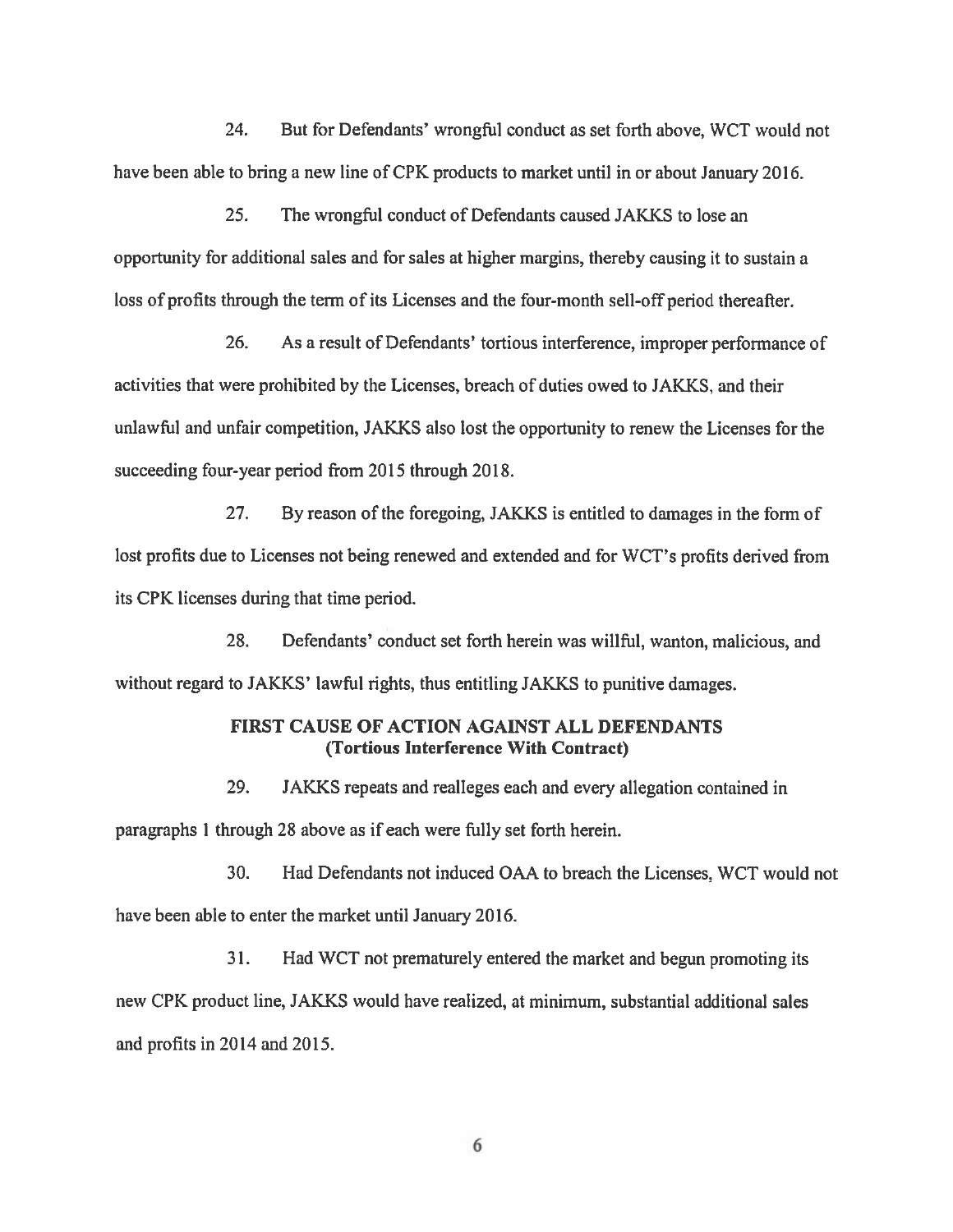24. But for Defendants' wrongful conduct as set forth above, WCT would not have been able to bring <sup>a</sup> new line of CPK products to market until in or about January 2016.

25. The wrongful conduct of Defendants caused JAKKS to lose an opportunity for additional sales and for sales at higher margins, thereby causing it to sustain <sup>a</sup> loss of profits through the term of its Licenses and the four-month sell-off period thereafter.

26. As <sup>a</sup> result of Defendants' tortious interference, improper performance of activities that were prohibited by the Licenses, breach of duties owed to JAKKS, and their unlawful and unfair competition, JAKKS also lost the opportunity to renew the Licenses for the succeeding four-year period from 2015 through 2018.

27. By reason of the foregoing, JAKKS is entitled to damages in the form of lost profits due to Licenses not being renewed and extended and for WCT's profits derived from its CPK licenses during that time period.

28. Defendants' conduct set forth herein was willful, wanton, malicious, and without regard to JAKKS' lawful rights, thus entitling JAKKS to punitive damages.

# FIRST CAUSE OF ACTION AGAINST ALL DEFENDANTS (Tortious Interference With Contract)

29. JAKKS repeats and realleges each and every allegation contained in paragraphs 1 through 28 above as if each were fully set forth herein.

30. Had Defendants not induced OAA to breach the Licenses, WCT would not have been able to enter the market until January 2016.

31. Had WCT not prematurely entered the market and begun promoting its new CPK product line, JAKKS would have realized, at minimum, substantial additional sales and profits in 2014 and 2015.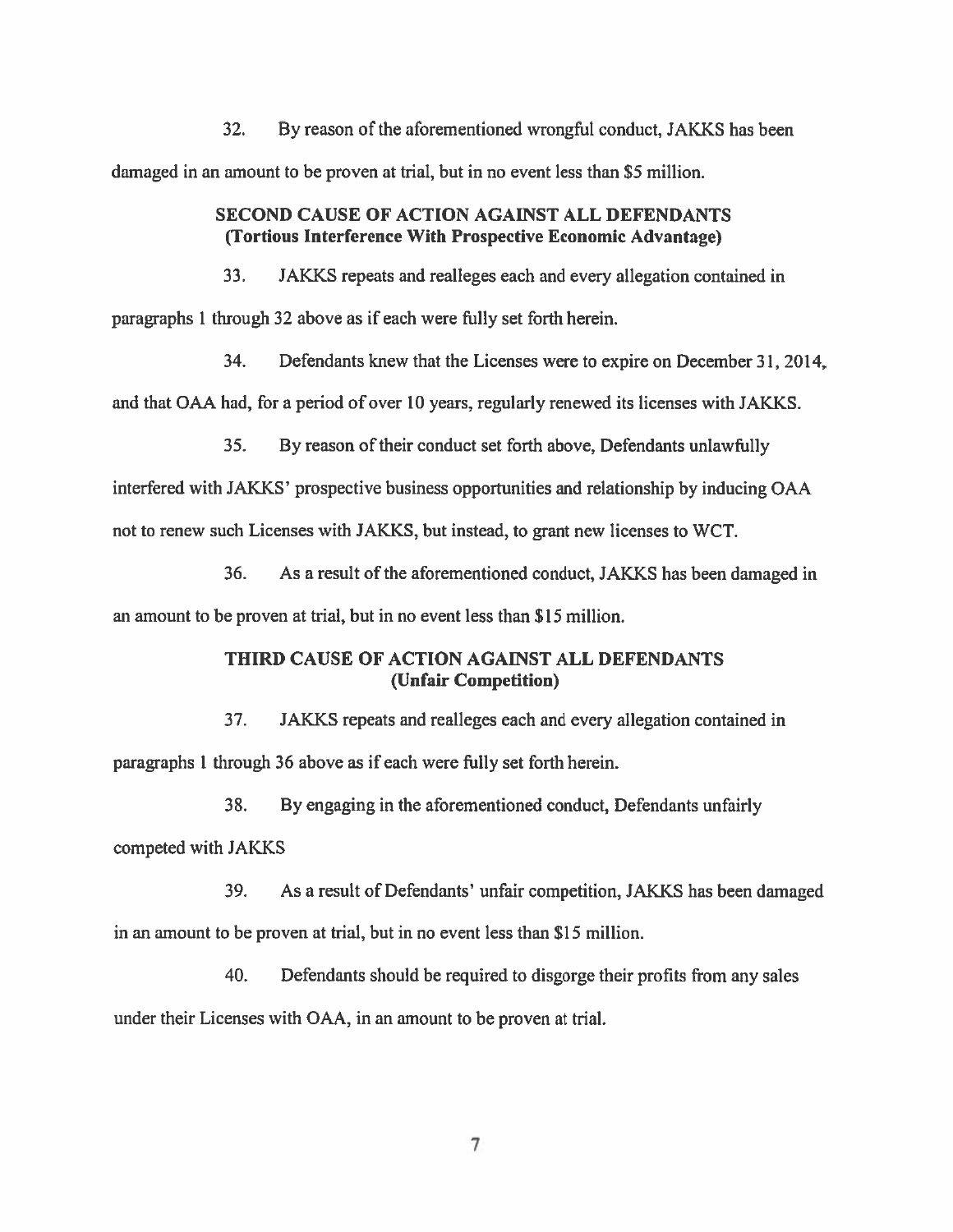32. By reason of the aforementioned wrongful conduct, JAKKS has been

damaged in an amount to be proven at trial, but in no event less than \$5 million.

## SECOND CAUSE OF ACTION AGAINST ALL DEFENDANTS (Tortious Interference With Prospective Economic Advantage)

33. JAKKS repeats and realleges each and every allegation contained in

paragraphs 1 through 32 above as if each were fully set forth herein.

34. Defendants knew that the Licenses were to expire on December 31, 2014,

and that OAA had, for <sup>a</sup> period of over 10 years, regularly renewed its licenses with JAKKS.

35. By reason of their conduct set forth above, Defendants unlawfully

interfered with JAKKS' prospective business opportunities and relationship by inducing OAA

not to renew such Licenses with JAKKS, but instead, to gran<sup>t</sup> new licenses to WCT.

36. As <sup>a</sup> result of the aforementioned conduct, JAKKS has been damaged in

an amount to be proven at trial, but in no event less than \$15 million.

# THIRD CAUSE OF ACTION AGAINST ALL DEFENDANTS (Unfair Competition)

37. JAKKS repeats and realleges each and every allegation contained in

paragraphs 1 through 36 above as if each were fully set forth herein.

38. By engaging in the aforementioned conduct, Defendants unfairly

competed with JAKKS

39. As <sup>a</sup> result of Defendants' unfair competition, JAKKS has been damaged in an amount to be proven at trial, but in no event less than \$15 million.

40. Defendants should be required to disgorge their profits from any sales under their Licenses with OAA, in an amount to be proven at trial.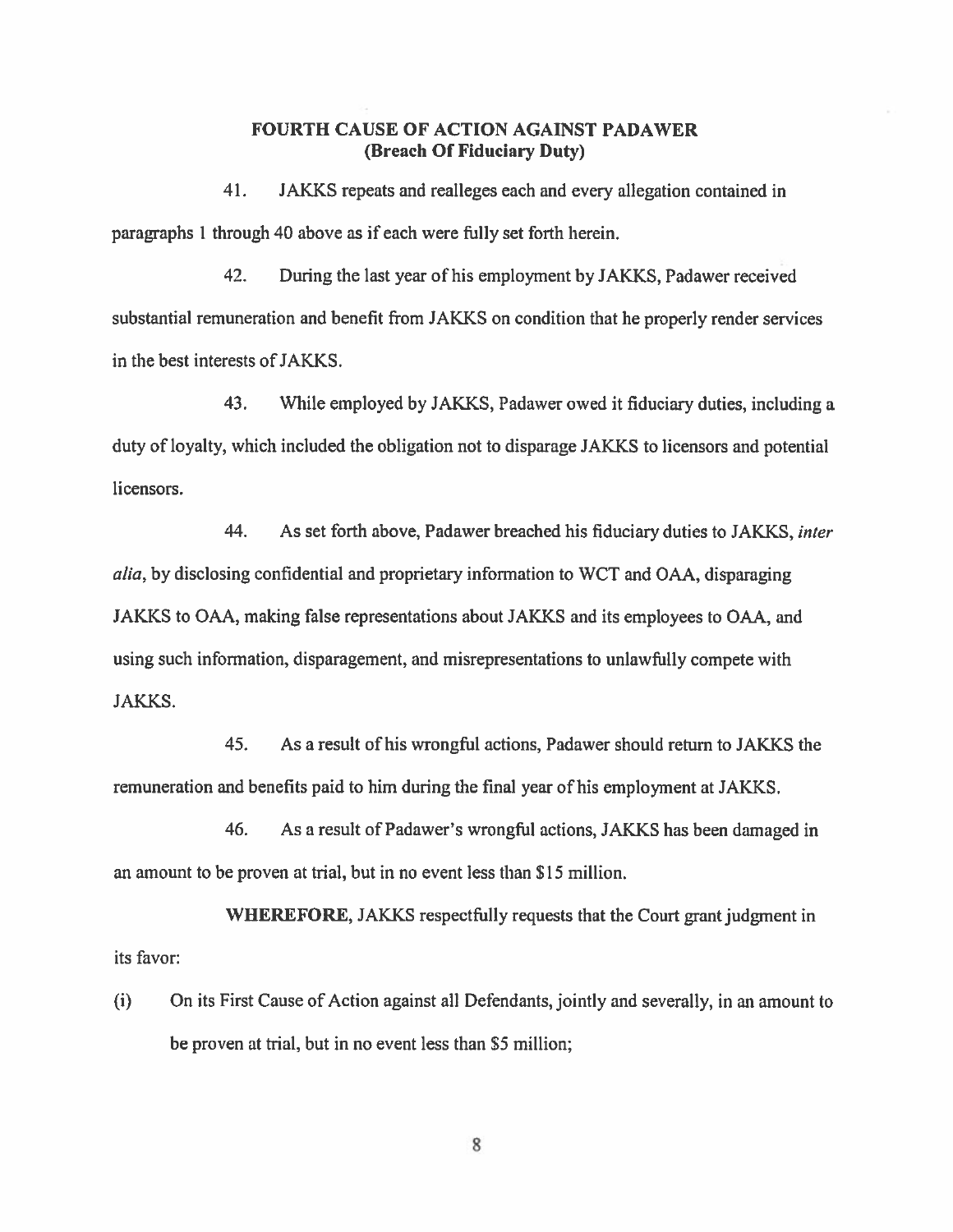## FOURTH CAUSE OF ACTION AGAINST PADAWER (Breach Of Fiduciary Duty)

41. JAKKS repeats and realleges each and every allegation contained in paragraphs I through 40 above as if each were fully set forth herein.

42. During the last year of his employment by JAKKS, Padawer received substantial remuneration and benefit from JAKKS on condition that he properly render services in the best interests of JAKKS.

43. While employed by JAKKS, Padawer owed it fiduciary duties, including <sup>a</sup> duty of loyalty, which included the obligation not to disparage JAKKS to licensors and potential licensors.

44. As set forth above, Padawer breached his fiduciary duties to JAKKS, inter alia, by disclosing confidential and proprietary information to WCT and OAA, disparaging JAKKS to OAA, making false representations about JAKKS and its employees to OAA, and using such information, disparagement, and misrepresentations to unlawfully compete with JAKKS.

45. As <sup>a</sup> result of his wrongful actions, Padawer should return to JAKKS the remuneration and benefits paid to him during the final year of his employment at JAKKS.

46. As <sup>a</sup> result of Padawer's wrongful actions, JAKKS has been damaged in an amount to be proven at trial, but in no event less than \$15 million.

WHEREFORE, JAKKS respectfully requests that the Court gran<sup>t</sup> judgment in its favor:

(i) On its First Cause of Action against all Defendants, jointly and severally, in an amount to be proven at trial, but in no event less than \$5 million;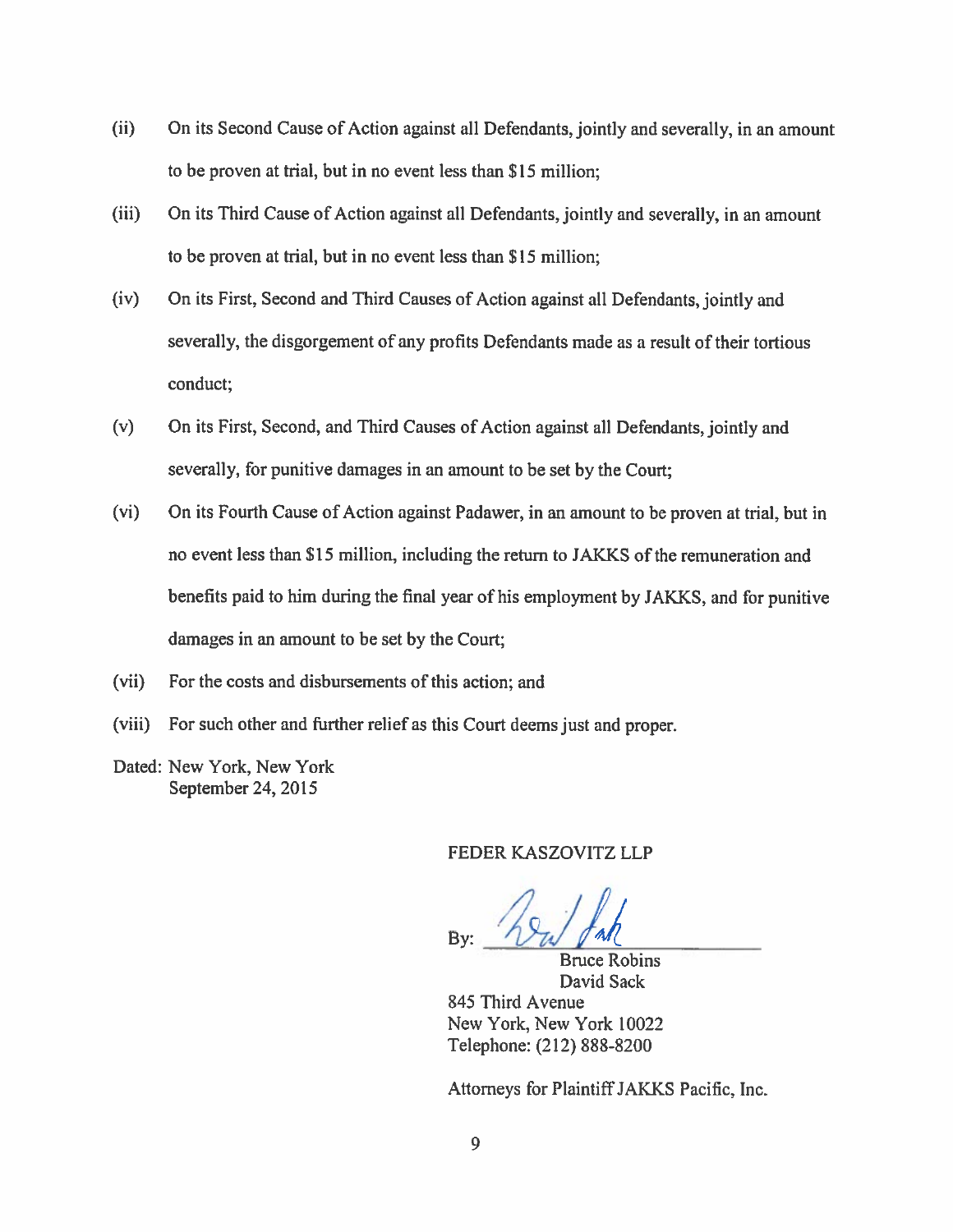- (ii) On its Second Cause of Action against all Defendants, jointly and severally, in an amount to be proven at trial, but in no event less than \$15 million;
- (iii) On its Third Cause of Action against all Defendants, jointly and severally, in an amount to be proven at trial, but in no event less than \$15 million;
- (iv) On its First, Second and Third Causes of Action against all Defendants, jointly and severally, the disgorgement of any profits Defendants made as a result of their tortious conduct;
- (v) On its First, Second, and Third Causes of Action against all Defendants, jointly and severally, for punitive damages in an amount to be set by the Court;
- (vi) On its Fourth Cause of Action against Padawer, in an amount to be proven at trial, but in no event less than S 15 million, including the return to JAKKS of the remuneration and benefits paid to him during the final year of his employment by JAKKS, and for punitive damages in an amount to be set by the Court;
- (vii) For the costs and disbursements of this action; and
- (viii) For such other and further relief as this Court deems just and proper.
- Dated: New York, New York September 24, 2015

FEDER KASZOVITZ LLP

By:  $\mathcal{U}$   $\mathcal{U}$   $\mathcal{U}$ 

Bruce Robins David Sack

845 Third Avenue New York, New York 10022 Telephone: (212) 888-8200

Attorneys for PlaintiffJAKKS Pacific, Inc.